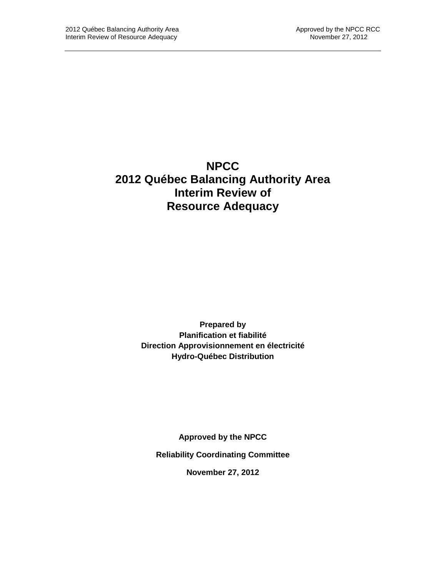# **NPCC 2012 Québec Balancing Authority Area Interim Review of Resource Adequacy**

**Prepared by Planification et fiabilité Direction Approvisionnement en électricité Hydro-Québec Distribution** 

**Approved by the NPCC** 

**Reliability Coordinating Committee** 

**November 27, 2012**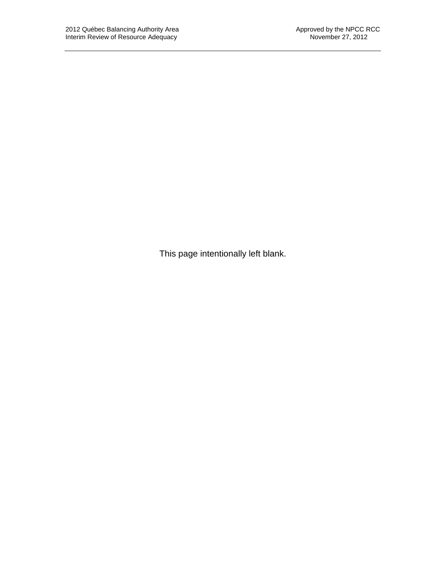This page intentionally left blank.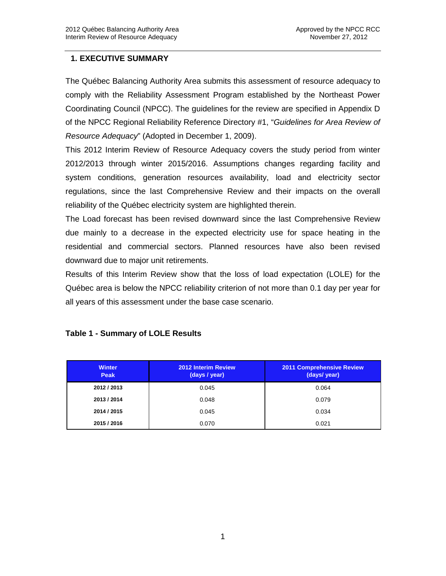# **1. EXECUTIVE SUMMARY**

The Québec Balancing Authority Area submits this assessment of resource adequacy to comply with the Reliability Assessment Program established by the Northeast Power Coordinating Council (NPCC). The guidelines for the review are specified in Appendix D of the NPCC Regional Reliability Reference Directory #1, "Guidelines for Area Review of Resource Adequacy" (Adopted in December 1, 2009).

This 2012 Interim Review of Resource Adequacy covers the study period from winter 2012/2013 through winter 2015/2016. Assumptions changes regarding facility and system conditions, generation resources availability, load and electricity sector regulations, since the last Comprehensive Review and their impacts on the overall reliability of the Québec electricity system are highlighted therein.

The Load forecast has been revised downward since the last Comprehensive Review due mainly to a decrease in the expected electricity use for space heating in the residential and commercial sectors. Planned resources have also been revised downward due to major unit retirements.

Results of this Interim Review show that the loss of load expectation (LOLE) for the Québec area is below the NPCC reliability criterion of not more than 0.1 day per year for all years of this assessment under the base case scenario.

| <b>Winter</b><br>Peak | <b>2012 Interim Review</b><br>(days / year) | <b>2011 Comprehensive Review</b><br>(days/ year) |
|-----------------------|---------------------------------------------|--------------------------------------------------|
| 2012 / 2013           | 0.045                                       | 0.064                                            |
| 2013 / 2014           | 0.048                                       | 0.079                                            |
| 2014 / 2015           | 0.045                                       | 0.034                                            |
| 2015 / 2016           | 0.070                                       | 0.021                                            |

# **Table 1 - Summary of LOLE Results**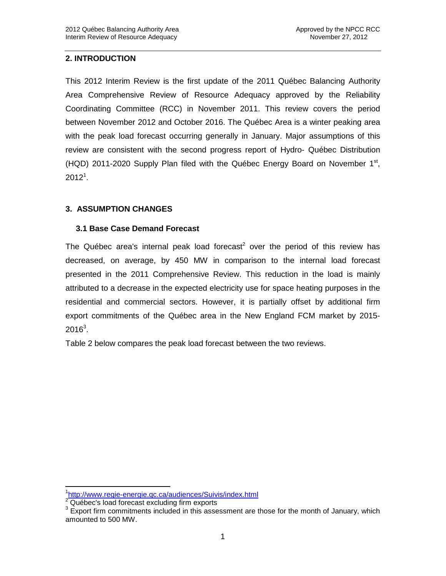## **2. INTRODUCTION**

This 2012 Interim Review is the first update of the 2011 Québec Balancing Authority Area Comprehensive Review of Resource Adequacy approved by the Reliability Coordinating Committee (RCC) in November 2011. This review covers the period between November 2012 and October 2016. The Québec Area is a winter peaking area with the peak load forecast occurring generally in January. Major assumptions of this review are consistent with the second progress report of Hydro- Québec Distribution (HQD) 2011-2020 Supply Plan filed with the Québec Energy Board on November  $1<sup>st</sup>$ ,  $2012<sup>1</sup>$ .

## **3. ASSUMPTION CHANGES**

## **3.1 Base Case Demand Forecast**

The Québec area's internal peak load forecast<sup>2</sup> over the period of this review has decreased, on average, by 450 MW in comparison to the internal load forecast presented in the 2011 Comprehensive Review. This reduction in the load is mainly attributed to a decrease in the expected electricity use for space heating purposes in the residential and commercial sectors. However, it is partially offset by additional firm export commitments of the Québec area in the New England FCM market by 2015-  $2016^3$ .

Table 2 below compares the peak load forecast between the two reviews.

-

<sup>&</sup>lt;sup>1</sup>http://www.regie-energie.qc.ca/audiences/Suivis/index.html

<sup>&</sup>lt;sup>2</sup> Québec's load forecast excluding firm exports

 $3$  Export firm commitments included in this assessment are those for the month of January, which amounted to 500 MW.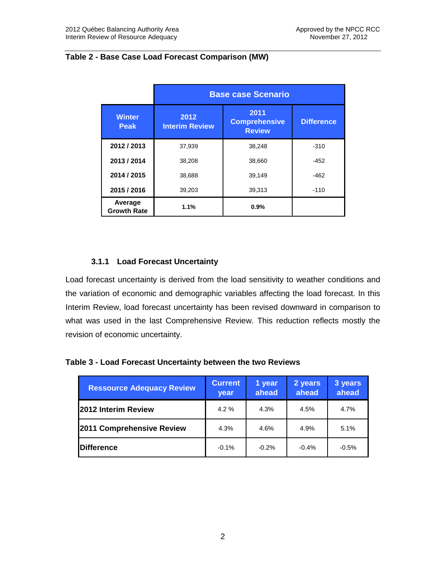## **Table 2 - Base Case Load Forecast Comparison (MW)**

|                               | <b>Base case Scenario</b>     |                                               |                   |  |
|-------------------------------|-------------------------------|-----------------------------------------------|-------------------|--|
| <b>Winter</b><br><b>Peak</b>  | 2012<br><b>Interim Review</b> | 2011<br><b>Comprehensive</b><br><b>Review</b> | <b>Difference</b> |  |
| 2012 / 2013                   | 37,939                        | 38,248                                        | $-310$            |  |
| 2013 / 2014                   | 38,208                        | 38.660                                        | $-452$            |  |
| 2014 / 2015                   | 38,688                        | 39,149                                        | $-462$            |  |
| 2015 / 2016                   | 39,203                        | 39,313                                        | $-110$            |  |
| Average<br><b>Growth Rate</b> | 1.1%                          | 0.9%                                          |                   |  |

#### **3.1.1 Load Forecast Uncertainty**

Load forecast uncertainty is derived from the load sensitivity to weather conditions and the variation of economic and demographic variables affecting the load forecast. In this Interim Review, load forecast uncertainty has been revised downward in comparison to what was used in the last Comprehensive Review. This reduction reflects mostly the revision of economic uncertainty.

#### **Table 3 - Load Forecast Uncertainty between the two Reviews**

| <b>Ressource Adequacy Review</b> | <b>Current</b><br>year | 1 year<br>ahead | 2 years<br>ahead | 3 years<br>ahead |
|----------------------------------|------------------------|-----------------|------------------|------------------|
| 2012 Interim Review              | 4.2%                   | 4.3%            | 4.5%             | 4.7%             |
| 2011 Comprehensive Review        | 4.3%                   | 4.6%            | 4.9%             | 5.1%             |
| <b>Difference</b>                | $-0.1%$                | $-0.2%$         | $-0.4%$          | $-0.5%$          |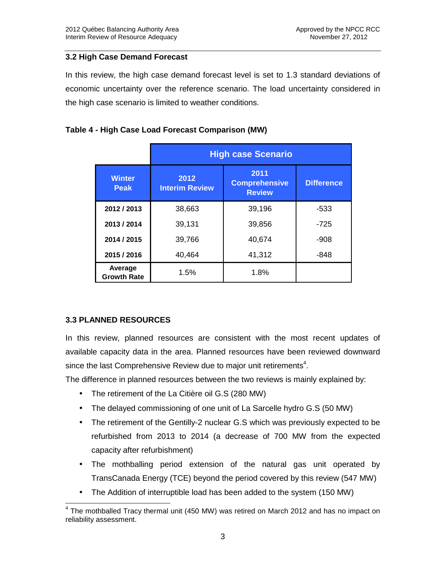## **3.2 High Case Demand Forecast**

In this review, the high case demand forecast level is set to 1.3 standard deviations of economic uncertainty over the reference scenario. The load uncertainty considered in the high case scenario is limited to weather conditions.

# **Table 4 - High Case Load Forecast Comparison (MW)**

|                               | <b>High case Scenario</b>     |                                               |                   |  |
|-------------------------------|-------------------------------|-----------------------------------------------|-------------------|--|
| <b>Winter</b><br><b>Peak</b>  | 2012<br><b>Interim Review</b> | 2011<br><b>Comprehensive</b><br><b>Review</b> | <b>Difference</b> |  |
| 2012 / 2013                   | 38,663                        | 39,196                                        | $-533$            |  |
| 2013 / 2014<br>39,131         |                               | 39,856                                        | $-725$            |  |
| 2014 / 2015                   | 39,766                        | 40,674                                        | $-908$            |  |
| 2015 / 2016                   | 40,464                        | 41,312                                        | $-848$            |  |
| Average<br><b>Growth Rate</b> | 1.5%                          | 1.8%                                          |                   |  |

# **3.3 PLANNED RESOURCES**

In this review, planned resources are consistent with the most recent updates of available capacity data in the area. Planned resources have been reviewed downward since the last Comprehensive Review due to major unit retirements<sup>4</sup>.

The difference in planned resources between the two reviews is mainly explained by:

- The retirement of the La Citière oil G.S (280 MW)
- The delayed commissioning of one unit of La Sarcelle hydro G.S (50 MW)
- The retirement of the Gentilly-2 nuclear G.S which was previously expected to be refurbished from 2013 to 2014 (a decrease of 700 MW from the expected capacity after refurbishment)
- The mothballing period extension of the natural gas unit operated by TransCanada Energy (TCE) beyond the period covered by this review (547 MW)
- The Addition of interruptible load has been added to the system (150 MW)

 4 The mothballed Tracy thermal unit (450 MW) was retired on March 2012 and has no impact on reliability assessment.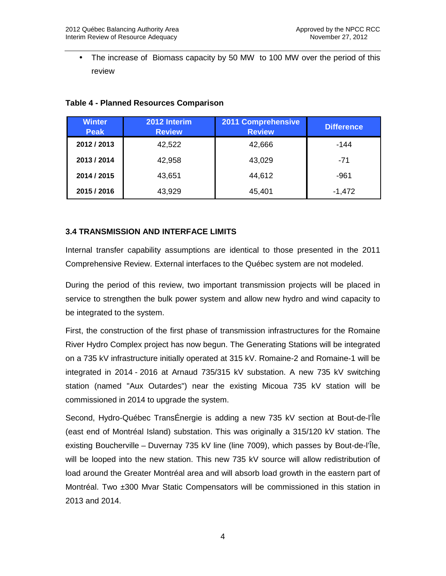• The increase of Biomass capacity by 50 MW to 100 MW over the period of this review

#### **Table 4 - Planned Resources Comparison**

| <b>Winter</b><br><b>Peak</b> | 2012 Interim<br><b>Review</b> | <b>2011 Comprehensive</b><br><b>Review</b> | <b>Difference</b> |
|------------------------------|-------------------------------|--------------------------------------------|-------------------|
| 2012 / 2013                  | 42,522                        | 42,666                                     | -144              |
| 2013 / 2014                  | 42,958                        | 43,029                                     | $-71$             |
| 2014 / 2015                  | 43,651                        | 44,612                                     | -961              |
| 2015 / 2016                  | 43,929                        | 45,401                                     | $-1,472$          |

# **3.4 TRANSMISSION AND INTERFACE LIMITS**

Internal transfer capability assumptions are identical to those presented in the 2011 Comprehensive Review. External interfaces to the Québec system are not modeled.

During the period of this review, two important transmission projects will be placed in service to strengthen the bulk power system and allow new hydro and wind capacity to be integrated to the system.

First, the construction of the first phase of transmission infrastructures for the Romaine River Hydro Complex project has now begun. The Generating Stations will be integrated on a 735 kV infrastructure initially operated at 315 kV. Romaine-2 and Romaine-1 will be integrated in 2014 - 2016 at Arnaud 735/315 kV substation. A new 735 kV switching station (named "Aux Outardes") near the existing Micoua 735 kV station will be commissioned in 2014 to upgrade the system.

Second, Hydro-Québec TransÉnergie is adding a new 735 kV section at Bout-de-l'Île (east end of Montréal Island) substation. This was originally a 315/120 kV station. The existing Boucherville – Duvernay 735 kV line (line 7009), which passes by Bout-de-l'Île, will be looped into the new station. This new 735 kV source will allow redistribution of load around the Greater Montréal area and will absorb load growth in the eastern part of Montréal. Two ±300 Mvar Static Compensators will be commissioned in this station in 2013 and 2014.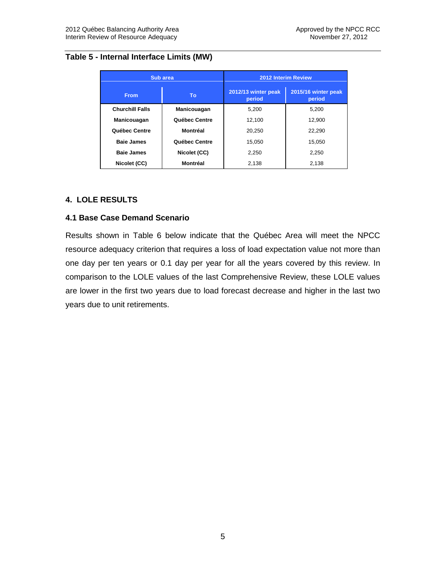#### **Table 5 - Internal Interface Limits (MW)**

| Sub area               |               | <b>2012 Interim Review</b>    |                               |  |
|------------------------|---------------|-------------------------------|-------------------------------|--|
| <b>From</b>            | To            | 2012/13 winter peak<br>period | 2015/16 winter peak<br>period |  |
| <b>Churchill Falls</b> | Manicouagan   | 5,200                         | 5,200                         |  |
| Manicouagan            | Québec Centre | 12,100                        | 12,900                        |  |
| Québec Centre          | Montréal      | 20,250                        | 22,290                        |  |
| <b>Baie James</b>      | Québec Centre | 15.050                        | 15.050                        |  |
| <b>Baie James</b>      | Nicolet (CC)  | 2.250                         | 2.250                         |  |
| Nicolet (CC)           | Montréal      | 2.138                         | 2,138                         |  |

#### **4. LOLE RESULTS**

#### **4.1 Base Case Demand Scenario**

Results shown in Table 6 below indicate that the Québec Area will meet the NPCC resource adequacy criterion that requires a loss of load expectation value not more than one day per ten years or 0.1 day per year for all the years covered by this review. In comparison to the LOLE values of the last Comprehensive Review, these LOLE values are lower in the first two years due to load forecast decrease and higher in the last two years due to unit retirements.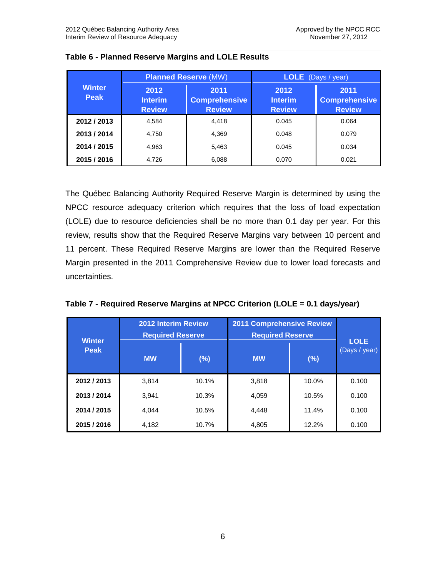|                              | <b>Planned Reserve (MW)</b>                                                              |       | LOLE (Days / year)                      |                                               |
|------------------------------|------------------------------------------------------------------------------------------|-------|-----------------------------------------|-----------------------------------------------|
| <b>Winter</b><br><b>Peak</b> | 2012<br>2011<br><b>Comprehensive</b><br><b>Interim</b><br><b>Review</b><br><b>Review</b> |       | 2012<br><b>Interim</b><br><b>Review</b> | 2011<br><b>Comprehensive</b><br><b>Review</b> |
| 2012 / 2013                  | 4.584                                                                                    | 4.418 | 0.045                                   | 0.064                                         |
| 2013 / 2014                  | 4,750                                                                                    | 4,369 | 0.048                                   | 0.079                                         |
| 2014 / 2015                  | 4,963                                                                                    | 5,463 | 0.045                                   | 0.034                                         |
| 2015 / 2016                  | 4,726                                                                                    | 6,088 | 0.070                                   | 0.021                                         |

### **Table 6 - Planned Reserve Margins and LOLE Results**

The Québec Balancing Authority Required Reserve Margin is determined by using the NPCC resource adequacy criterion which requires that the loss of load expectation (LOLE) due to resource deficiencies shall be no more than 0.1 day per year. For this review, results show that the Required Reserve Margins vary between 10 percent and 11 percent. These Required Reserve Margins are lower than the Required Reserve Margin presented in the 2011 Comprehensive Review due to lower load forecasts and uncertainties.

| <b>2012 Interim Review</b><br><b>Required Reserve</b><br><b>Winter</b> |           |       | <b>2011 Comprehensive Review</b><br><b>Required Reserve</b> |       | <b>LOLE</b>   |  |
|------------------------------------------------------------------------|-----------|-------|-------------------------------------------------------------|-------|---------------|--|
| <b>Peak</b>                                                            | <b>MW</b> | (%)   | <b>MW</b>                                                   | (%)   | (Days / year) |  |
| 2012 / 2013                                                            | 3.814     | 10.1% | 3.818                                                       | 10.0% | 0.100         |  |
| 2013 / 2014                                                            | 3,941     | 10.3% | 4,059                                                       | 10.5% | 0.100         |  |
| 2014 / 2015                                                            | 4,044     | 10.5% | 4,448                                                       | 11.4% | 0.100         |  |
| 2015 / 2016                                                            | 4,182     | 10.7% | 4,805                                                       | 12.2% | 0.100         |  |

|  | Table 7 - Required Reserve Margins at NPCC Criterion (LOLE = 0.1 days/year) |  |  |
|--|-----------------------------------------------------------------------------|--|--|
|  |                                                                             |  |  |